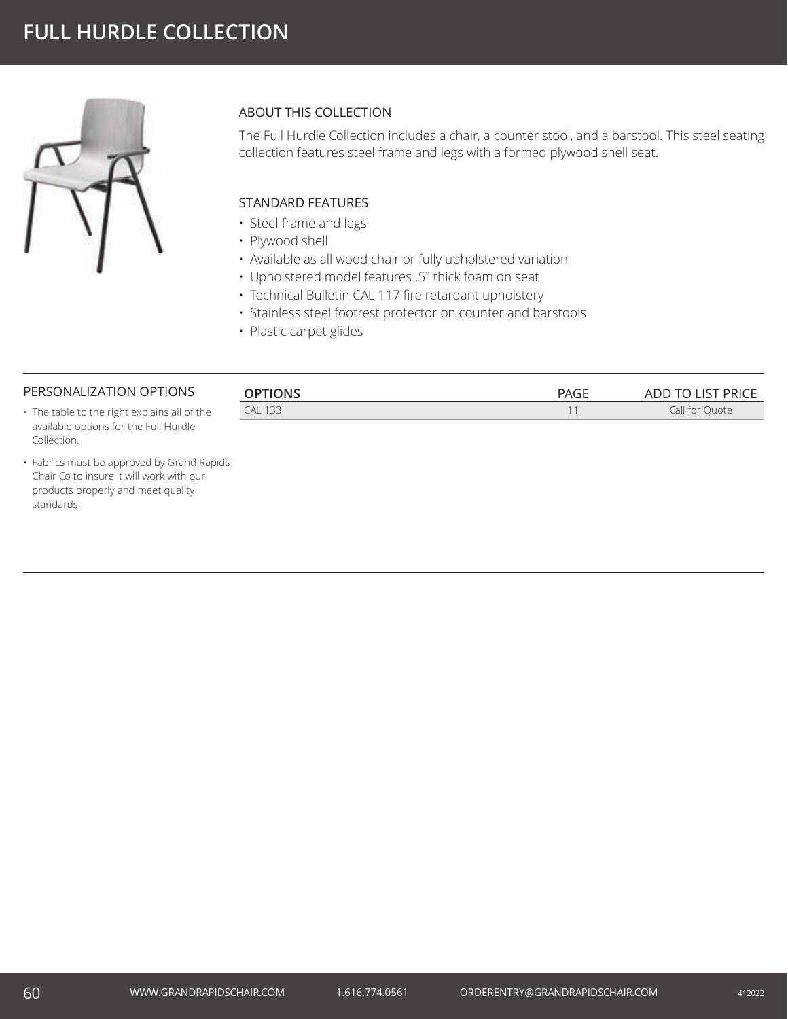

## ABOUT THIS COLLECTION

The Full Hurdle Collection includes a chair, a counter stool, and a barstool. This steel seating collection features steel frame and legs with a formed plywood shell seat.

## STANDARD FEATURES

- Steel frame and legs
- Plywood shell
- Available as all wood chair or fully upholstered variation
- Upholstered model features .5" thick foam on seat
- Technical Bulletin CAL 117 fire retardant upholstery
- Stainless steel footrest protector on counter and barstools
- Plastic carpet glides

# PERSONALIZATION OPTIONS

Collection.

| PERSONALIZATION OPTIONS                      | <b>OPTIONS</b> | PAGE | ADD TO LIST PRICE |
|----------------------------------------------|----------------|------|-------------------|
| • The table to the right explains all of the | <b>CAL 133</b> |      | Call for Ouote    |
| available options for the Full Hurdle        |                |      |                   |

• Fabrics must be approved by Grand Rapids Chair Co to insure it will work with our products properly and meet quality standards.